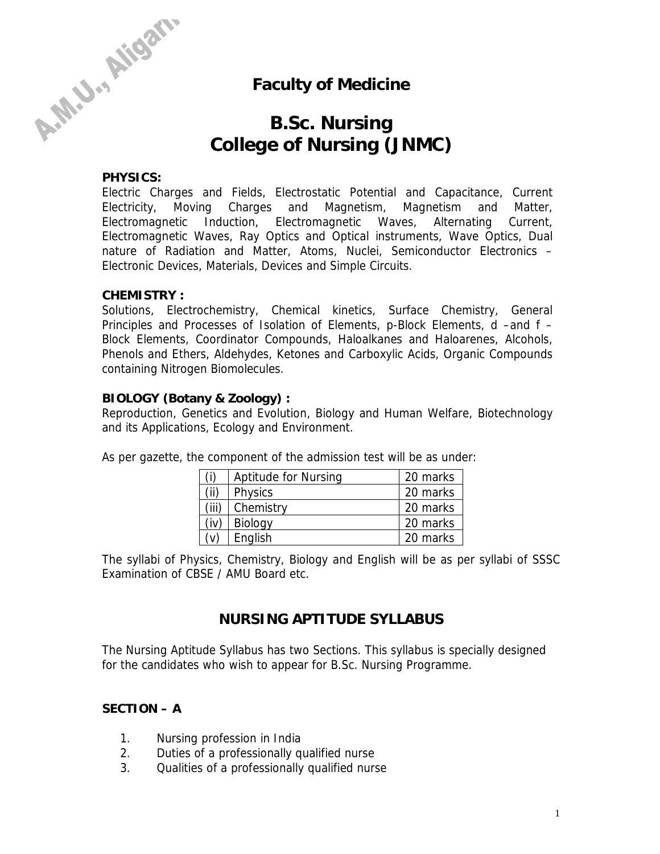

## **Faculty of Medicine**

# **B.Sc. Nursing College of Nursing (JNMC)**

#### **PHYSICS:**

Electric Charges and Fields, Electrostatic Potential and Capacitance, Current Electricity, Moving Charges and Magnetism, Magnetism and Matter, Electromagnetic Induction, Electromagnetic Waves, Alternating Current, Electromagnetic Waves, Ray Optics and Optical instruments, Wave Optics, Dual nature of Radiation and Matter, Atoms, Nuclei, Semiconductor Electronics – Electronic Devices, Materials, Devices and Simple Circuits.

#### **CHEMISTRY :**

Solutions, Electrochemistry, Chemical kinetics, Surface Chemistry, General Principles and Processes of Isolation of Elements, p-Block Elements, d –and f – Block Elements, Coordinator Compounds, Haloalkanes and Haloarenes, Alcohols, Phenols and Ethers, Aldehydes, Ketones and Carboxylic Acids, Organic Compounds containing Nitrogen Biomolecules.

#### **BIOLOGY (Botany & Zoology) :**

Reproduction, Genetics and Evolution, Biology and Human Welfare, Biotechnology and its Applications, Ecology and Environment.

|       | <b>Aptitude for Nursing</b> | 20 marks |
|-------|-----------------------------|----------|
| 'ii)  | <b>Physics</b>              | 20 marks |
| (iii) | Chemistry                   | 20 marks |
| (iv)  | <b>Biology</b>              | 20 marks |
|       | English                     | 20 marks |

As per gazette, the component of the admission test will be as under:

The syllabi of Physics, Chemistry, Biology and English will be as per syllabi of SSSC Examination of CBSE / AMU Board etc.

### **NURSING APTITUDE SYLLABUS**

The Nursing Aptitude Syllabus has two Sections. This syllabus is specially designed for the candidates who wish to appear for B.Sc. Nursing Programme.

#### **SECTION – A**

- 1. Nursing profession in India
- 2. Duties of a professionally qualified nurse
- 3. Qualities of a professionally qualified nurse